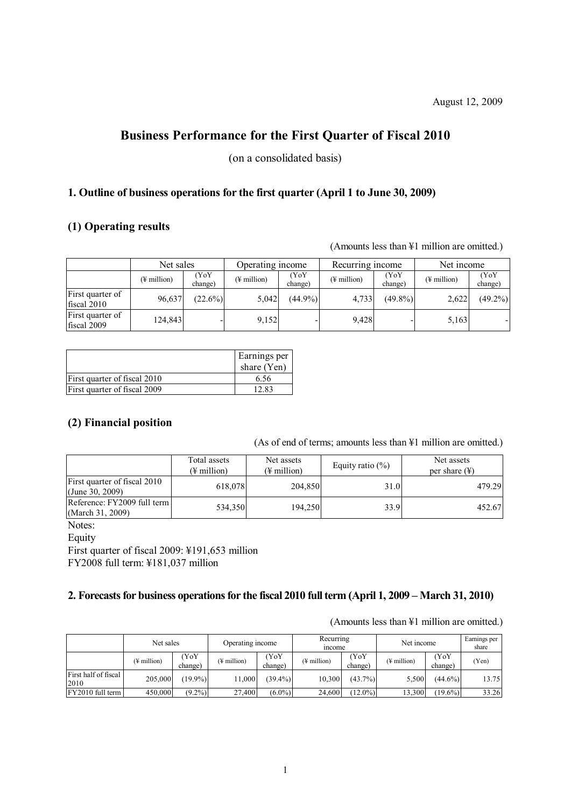# **Business Performance for the First Quarter of Fiscal 2010**

(on a consolidated basis)

# **1. Outline of business operations for the first quarter (April 1 to June 30, 2009)**

### **(1) Operating results**

(Amounts less than ¥1 million are omitted.)

|                                 | Net sales               |                 | Operating income        |                 | Recurring income        |                 | Net income               |                 |
|---------------------------------|-------------------------|-----------------|-------------------------|-----------------|-------------------------|-----------------|--------------------------|-----------------|
|                                 | $(\frac{1}{2}$ million) | (YoY<br>change) | $(\frac{1}{2}$ million) | (YoY<br>change) | $(\frac{1}{2})$ million | (YoY<br>change) | $(\frac{1}{2})$ million) | (YoY<br>change) |
| First quarter of<br>fiscal 2010 | 96,637                  | $(22.6\%)$      | 5,042                   | $(44.9\%)$      | 4.733                   | $(49.8\%)$      | 2,622                    | $(49.2\%)$      |
| First quarter of<br>fiscal 2009 | 124,843                 |                 | 9,152                   |                 | 9,428                   |                 | 5,163                    |                 |

|                              | Earnings per<br>share $(Yen)$ |
|------------------------------|-------------------------------|
| First quarter of fiscal 2010 | 6.56                          |
| First quarter of fiscal 2009 | 12.83                         |

# **(2) Financial position**

(As of end of terms; amounts less than ¥1 million are omitted.)

|                                                 | Total assets<br>(¥ million) | Net assets<br>(¥ million) | Equity ratio $(\%)$ | Net assets<br>per share $(\frac{1}{2})$ |  |
|-------------------------------------------------|-----------------------------|---------------------------|---------------------|-----------------------------------------|--|
| First quarter of fiscal 2010<br>(June 30, 2009) | 618,078                     | 204,850                   | 31.0                | 479.29                                  |  |
| Reference: FY2009 full term<br>(March 31, 2009) | 534,350                     | 194,250                   | 33.9                | 452.67                                  |  |

Notes:

Equity

First quarter of fiscal 2009: ¥191,653 million

FY2008 full term: ¥181,037 million

### **2. Forecasts for business operations for the fiscal 2010 full term (April 1, 2009 – March 31, 2010)**

|                              | Net sales                |                 | Operating income        |                 | Recurring<br><i>n</i> come |                 | Net income              |                 | Earnings per<br>share |
|------------------------------|--------------------------|-----------------|-------------------------|-----------------|----------------------------|-----------------|-------------------------|-----------------|-----------------------|
|                              | $(\frac{1}{2})$ million) | (YoY<br>change) | $(\frac{1}{2}$ million) | Y0Y)<br>change) | (¥ million)                | (YoY<br>change) | $(\frac{1}{2}$ million) | (YoY<br>change) | (Yen)                 |
| First half of fiscal<br>2010 | 205,000                  | $(19.9\%)$      | 11.000                  | $(39.4\%)$      | 10.300                     | $(43.7\%)$      | 5,500                   | $(44.6\%)$      | 13.75                 |
| FY2010 full term             | 450,000                  | $(9.2\%)$       | 27.400                  | $(6.0\%)$       | 24.600                     | $(12.0\%)$      | 13,300                  | $(19.6\%)$      | 33.26                 |

(Amounts less than ¥1 million are omitted.)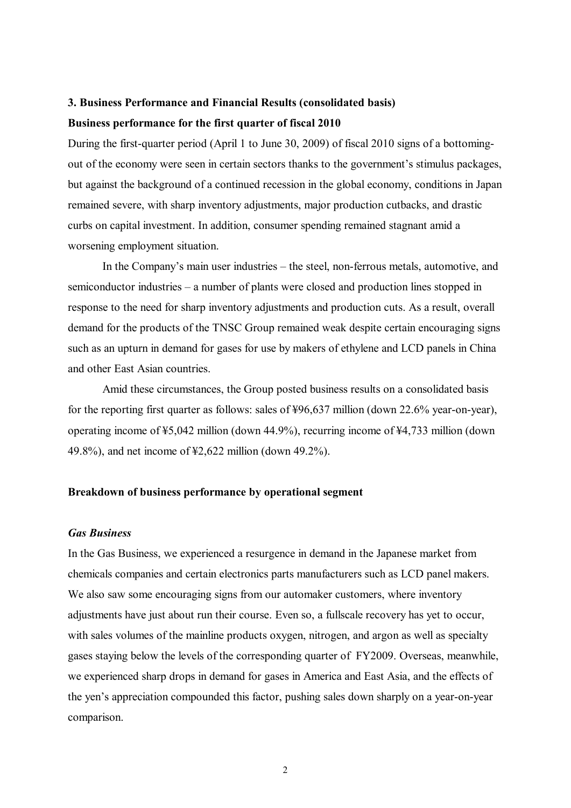# **3. Business Performance and Financial Results (consolidated basis) Business performance for the first quarter of fiscal 2010**

During the first-quarter period (April 1 to June 30, 2009) of fiscal 2010 signs of a bottomingout of the economy were seen in certain sectors thanks to the government's stimulus packages, but against the background of a continued recession in the global economy, conditions in Japan remained severe, with sharp inventory adjustments, major production cutbacks, and drastic curbs on capital investment. In addition, consumer spending remained stagnant amid a worsening employment situation.

In the Company's main user industries – the steel, non-ferrous metals, automotive, and semiconductor industries – a number of plants were closed and production lines stopped in response to the need for sharp inventory adjustments and production cuts. As a result, overall demand for the products of the TNSC Group remained weak despite certain encouraging signs such as an upturn in demand for gases for use by makers of ethylene and LCD panels in China and other East Asian countries.

Amid these circumstances, the Group posted business results on a consolidated basis for the reporting first quarter as follows: sales of ¥96,637 million (down 22.6% year-on-year), operating income of ¥5,042 million (down 44.9%), recurring income of ¥4,733 million (down 49.8%), and net income of ¥2,622 million (down 49.2%).

### **Breakdown of business performance by operational segment**

#### *Gas Business*

In the Gas Business, we experienced a resurgence in demand in the Japanese market from chemicals companies and certain electronics parts manufacturers such as LCD panel makers. We also saw some encouraging signs from our automaker customers, where inventory adjustments have just about run their course. Even so, a fullscale recovery has yet to occur, with sales volumes of the mainline products oxygen, nitrogen, and argon as well as specialty gases staying below the levels of the corresponding quarter of FY2009. Overseas, meanwhile, we experienced sharp drops in demand for gases in America and East Asia, and the effects of the yen's appreciation compounded this factor, pushing sales down sharply on a year-on-year comparison.

2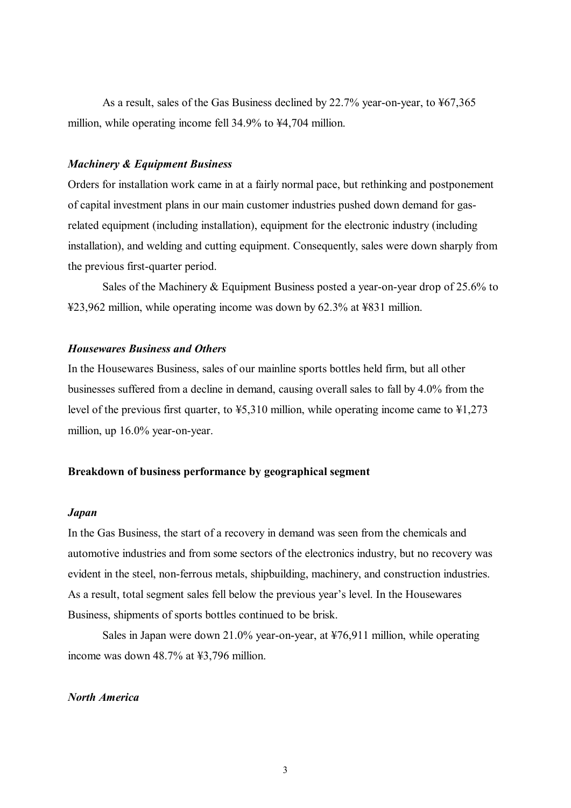As a result, sales of the Gas Business declined by 22.7% year-on-year, to ¥67,365 million, while operating income fell 34.9% to ¥4,704 million.

### *Machinery & Equipment Business*

Orders for installation work came in at a fairly normal pace, but rethinking and postponement of capital investment plans in our main customer industries pushed down demand for gasrelated equipment (including installation), equipment for the electronic industry (including installation), and welding and cutting equipment. Consequently, sales were down sharply from the previous first-quarter period.

Sales of the Machinery & Equipment Business posted a year-on-year drop of 25.6% to ¥23,962 million, while operating income was down by 62.3% at ¥831 million.

### *Housewares Business and Others*

In the Housewares Business, sales of our mainline sports bottles held firm, but all other businesses suffered from a decline in demand, causing overall sales to fall by 4.0% from the level of the previous first quarter, to ¥5,310 million, while operating income came to ¥1,273 million, up 16.0% year-on-year.

### **Breakdown of business performance by geographical segment**

#### *Japan*

In the Gas Business, the start of a recovery in demand was seen from the chemicals and automotive industries and from some sectors of the electronics industry, but no recovery was evident in the steel, non-ferrous metals, shipbuilding, machinery, and construction industries. As a result, total segment sales fell below the previous year's level. In the Housewares Business, shipments of sports bottles continued to be brisk.

Sales in Japan were down 21.0% year-on-year, at ¥76,911 million, while operating income was down 48.7% at ¥3,796 million.

### *North America*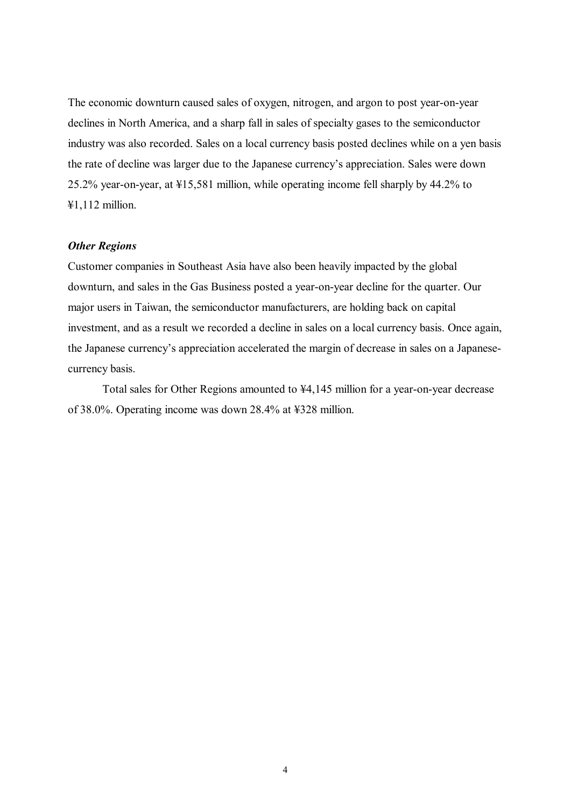The economic downturn caused sales of oxygen, nitrogen, and argon to post year-on-year declines in North America, and a sharp fall in sales of specialty gases to the semiconductor industry was also recorded. Sales on a local currency basis posted declines while on a yen basis the rate of decline was larger due to the Japanese currency's appreciation. Sales were down 25.2% year-on-year, at ¥15,581 million, while operating income fell sharply by 44.2% to ¥1,112 million.

### *Other Regions*

Customer companies in Southeast Asia have also been heavily impacted by the global downturn, and sales in the Gas Business posted a year-on-year decline for the quarter. Our major users in Taiwan, the semiconductor manufacturers, are holding back on capital investment, and as a result we recorded a decline in sales on a local currency basis. Once again, the Japanese currency's appreciation accelerated the margin of decrease in sales on a Japanesecurrency basis.

Total sales for Other Regions amounted to ¥4,145 million for a year-on-year decrease of 38.0%. Operating income was down 28.4% at ¥328 million.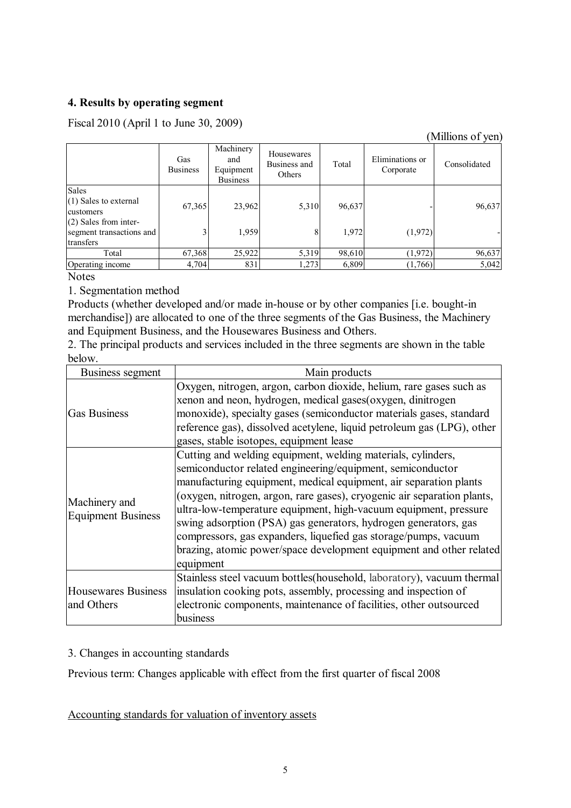# **4. Results by operating segment**

Fiscal 2010 (April 1 to June 30, 2009)

# (Millions of yen)

|                          | Gas<br><b>Business</b> | Machinery<br>and<br>Equipment<br><b>Business</b> | Housewares<br>Business and<br>Others | Total  | Eliminations or<br>Corporate | Consolidated |
|--------------------------|------------------------|--------------------------------------------------|--------------------------------------|--------|------------------------------|--------------|
| Sales                    |                        |                                                  |                                      |        |                              |              |
| (1) Sales to external    | 67,365                 | 23,962                                           | 5,310                                | 96,637 |                              | 96,637       |
| customers                |                        |                                                  |                                      |        |                              |              |
| (2) Sales from inter-    |                        |                                                  |                                      |        |                              |              |
| segment transactions and |                        | 1,959                                            | 8                                    | 1,972  | (1,972)                      |              |
| transfers                |                        |                                                  |                                      |        |                              |              |
| Total                    | 67,368                 | 25,922                                           | 5,319                                | 98,610 | (1,972)                      | 96,637       |
| Operating income         | 4,704                  | 831                                              | 1,273                                | 6,809  | (1,766)                      | 5,042        |

**Notes** 

1. Segmentation method

Products (whether developed and/or made in-house or by other companies [i.e. bought-in merchandise]) are allocated to one of the three segments of the Gas Business, the Machinery and Equipment Business, and the Housewares Business and Others.

2. The principal products and services included in the three segments are shown in the table below.

| Business segment          | Main products                                                           |
|---------------------------|-------------------------------------------------------------------------|
|                           | Oxygen, nitrogen, argon, carbon dioxide, helium, rare gases such as     |
|                           | xenon and neon, hydrogen, medical gases(oxygen, dinitrogen              |
| <b>Gas Business</b>       | monoxide), specialty gases (semiconductor materials gases, standard     |
|                           | reference gas), dissolved acetylene, liquid petroleum gas (LPG), other  |
|                           | gases, stable isotopes, equipment lease                                 |
|                           | Cutting and welding equipment, welding materials, cylinders,            |
|                           | semiconductor related engineering/equipment, semiconductor              |
|                           | manufacturing equipment, medical equipment, air separation plants       |
| Machinery and             | (oxygen, nitrogen, argon, rare gases), cryogenic air separation plants, |
| <b>Equipment Business</b> | ultra-low-temperature equipment, high-vacuum equipment, pressure        |
|                           | swing adsorption (PSA) gas generators, hydrogen generators, gas         |
|                           | compressors, gas expanders, liquefied gas storage/pumps, vacuum         |
|                           | brazing, atomic power/space development equipment and other related     |
|                           | equipment                                                               |
|                           | Stainless steel vacuum bottles(household, laboratory), vacuum thermal   |
| Housewares Business       | insulation cooking pots, assembly, processing and inspection of         |
| and Others                | electronic components, maintenance of facilities, other outsourced      |
|                           | business                                                                |

# 3. Changes in accounting standards

Previous term: Changes applicable with effect from the first quarter of fiscal 2008

Accounting standards for valuation of inventory assets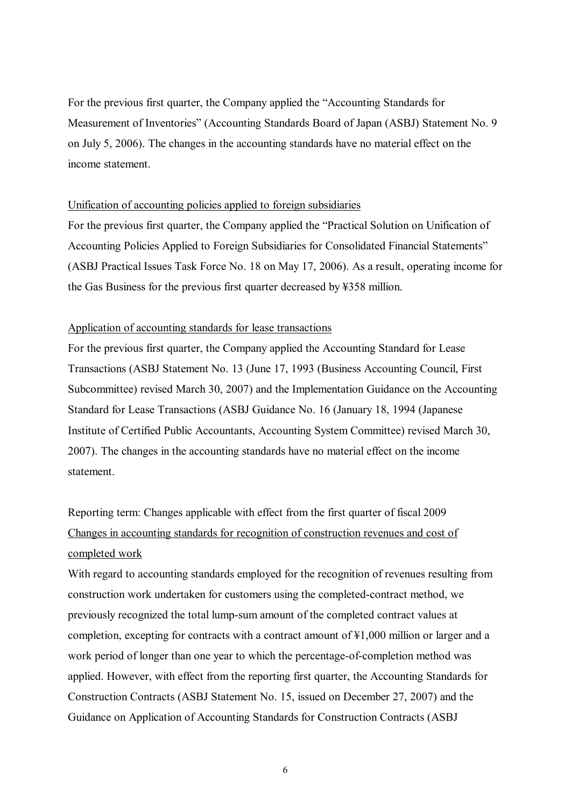For the previous first quarter, the Company applied the "Accounting Standards for Measurement of Inventories" (Accounting Standards Board of Japan (ASBJ) Statement No. 9 on July 5, 2006). The changes in the accounting standards have no material effect on the income statement.

### Unification of accounting policies applied to foreign subsidiaries

For the previous first quarter, the Company applied the "Practical Solution on Unification of Accounting Policies Applied to Foreign Subsidiaries for Consolidated Financial Statements" (ASBJ Practical Issues Task Force No. 18 on May 17, 2006). As a result, operating income for the Gas Business for the previous first quarter decreased by ¥358 million.

### Application of accounting standards for lease transactions

For the previous first quarter, the Company applied the Accounting Standard for Lease Transactions (ASBJ Statement No. 13 (June 17, 1993 (Business Accounting Council, First Subcommittee) revised March 30, 2007) and the Implementation Guidance on the Accounting Standard for Lease Transactions (ASBJ Guidance No. 16 (January 18, 1994 (Japanese Institute of Certified Public Accountants, Accounting System Committee) revised March 30, 2007). The changes in the accounting standards have no material effect on the income statement.

Reporting term: Changes applicable with effect from the first quarter of fiscal 2009 Changes in accounting standards for recognition of construction revenues and cost of completed work

With regard to accounting standards employed for the recognition of revenues resulting from construction work undertaken for customers using the completed-contract method, we previously recognized the total lump-sum amount of the completed contract values at completion, excepting for contracts with a contract amount of ¥1,000 million or larger and a work period of longer than one year to which the percentage-of-completion method was applied. However, with effect from the reporting first quarter, the Accounting Standards for Construction Contracts (ASBJ Statement No. 15, issued on December 27, 2007) and the Guidance on Application of Accounting Standards for Construction Contracts (ASBJ

6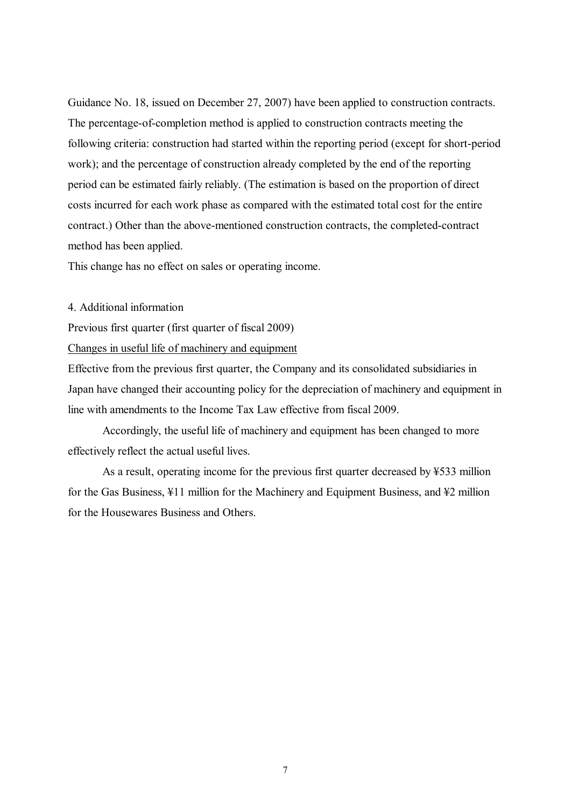Guidance No. 18, issued on December 27, 2007) have been applied to construction contracts. The percentage-of-completion method is applied to construction contracts meeting the following criteria: construction had started within the reporting period (except for short-period work); and the percentage of construction already completed by the end of the reporting period can be estimated fairly reliably. (The estimation is based on the proportion of direct costs incurred for each work phase as compared with the estimated total cost for the entire contract.) Other than the above-mentioned construction contracts, the completed-contract method has been applied.

This change has no effect on sales or operating income.

#### 4. Additional information

Previous first quarter (first quarter of fiscal 2009)

Changes in useful life of machinery and equipment

Effective from the previous first quarter, the Company and its consolidated subsidiaries in Japan have changed their accounting policy for the depreciation of machinery and equipment in line with amendments to the Income Tax Law effective from fiscal 2009.

Accordingly, the useful life of machinery and equipment has been changed to more effectively reflect the actual useful lives.

As a result, operating income for the previous first quarter decreased by ¥533 million for the Gas Business, ¥11 million for the Machinery and Equipment Business, and ¥2 million for the Housewares Business and Others.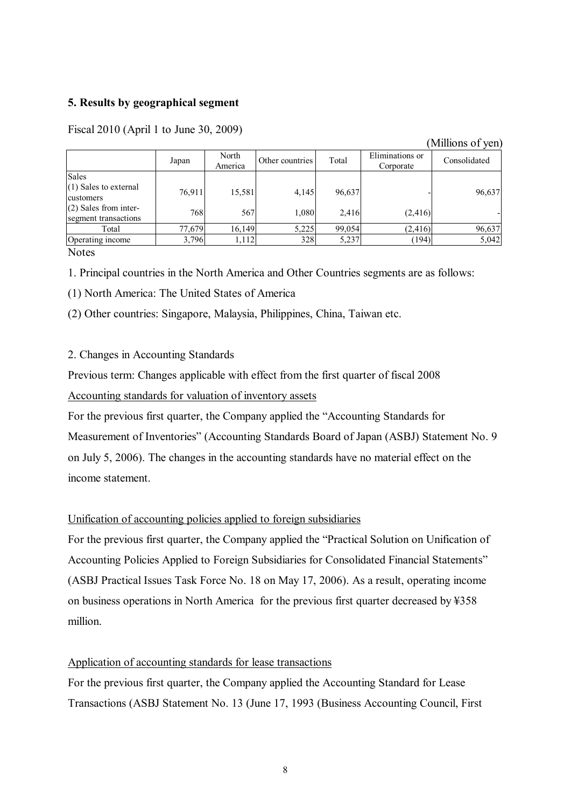## **5. Results by geographical segment**

|                                                 |        |                  |                 |        |                              | TATHIIOHO OT AAH I |
|-------------------------------------------------|--------|------------------|-----------------|--------|------------------------------|--------------------|
|                                                 | Japan  | North<br>America | Other countries | Total  | Eliminations or<br>Corporate | Consolidated       |
| <b>Sales</b>                                    |        |                  |                 |        |                              |                    |
| (1) Sales to external<br>customers              | 76,911 | 15,581           | 4,145           | 96,637 |                              | 96,637             |
| $(2)$ Sales from inter-<br>segment transactions | 768    | 567              | 1,080           | 2,416  | (2, 416)                     |                    |
| Total                                           | 77,679 | 16,149           | 5,225           | 99,054 | (2, 416)                     | 96,637             |
| Operating income                                | 3,796  | 1,112            | 328             | 5,237  | (194)                        | 5,042              |

(Millions of yen)

Fiscal 2010 (April 1 to June 30, 2009)

**Notes** 

1. Principal countries in the North America and Other Countries segments are as follows:

(1) North America: The United States of America

(2) Other countries: Singapore, Malaysia, Philippines, China, Taiwan etc.

### 2. Changes in Accounting Standards

Previous term: Changes applicable with effect from the first quarter of fiscal 2008 Accounting standards for valuation of inventory assets

For the previous first quarter, the Company applied the "Accounting Standards for Measurement of Inventories" (Accounting Standards Board of Japan (ASBJ) Statement No. 9 on July 5, 2006). The changes in the accounting standards have no material effect on the income statement.

# Unification of accounting policies applied to foreign subsidiaries

For the previous first quarter, the Company applied the "Practical Solution on Unification of Accounting Policies Applied to Foreign Subsidiaries for Consolidated Financial Statements" (ASBJ Practical Issues Task Force No. 18 on May 17, 2006). As a result, operating income on business operations in North America for the previous first quarter decreased by ¥358 million.

### Application of accounting standards for lease transactions

For the previous first quarter, the Company applied the Accounting Standard for Lease Transactions (ASBJ Statement No. 13 (June 17, 1993 (Business Accounting Council, First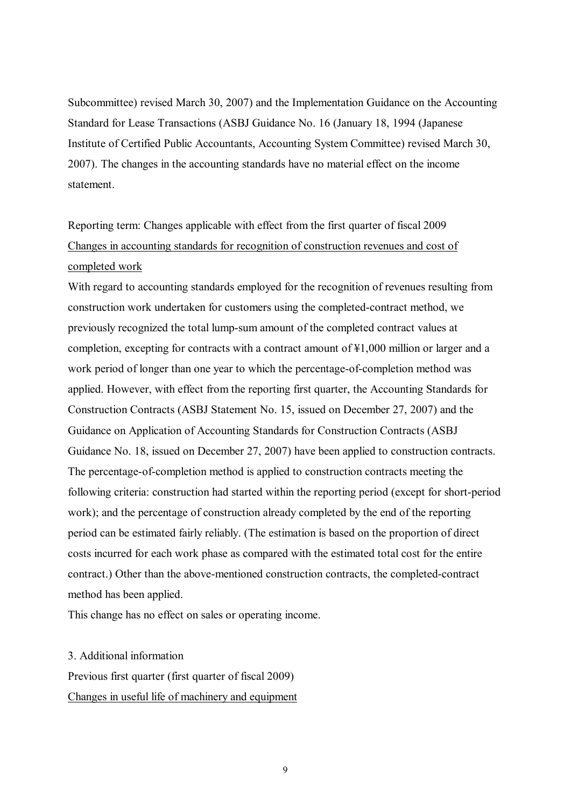Subcommittee) revised March 30, 2007) and the Implementation Guidance on the Accounting Standard for Lease Transactions (ASBJ Guidance No. 16 (January 18, 1994 (Japanese Institute of Certified Public Accountants, Accounting System Committee) revised March 30, 2007). The changes in the accounting standards have no material effect on the income statement.

# Reporting term: Changes applicable with effect from the first quarter of fiscal 2009 Changes in accounting standards for recognition of construction revenues and cost of completed work

With regard to accounting standards employed for the recognition of revenues resulting from construction work undertaken for customers using the completed-contract method, we previously recognized the total lump-sum amount of the completed contract values at completion, excepting for contracts with a contract amount of ¥1,000 million or larger and a work period of longer than one year to which the percentage-of-completion method was applied. However, with effect from the reporting first quarter, the Accounting Standards for Construction Contracts (ASBJ Statement No. 15, issued on December 27, 2007) and the Guidance on Application of Accounting Standards for Construction Contracts (ASBJ Guidance No. 18, issued on December 27, 2007) have been applied to construction contracts. The percentage-of-completion method is applied to construction contracts meeting the following criteria: construction had started within the reporting period (except for short-period work); and the percentage of construction already completed by the end of the reporting period can be estimated fairly reliably. (The estimation is based on the proportion of direct costs incurred for each work phase as compared with the estimated total cost for the entire contract.) Other than the above-mentioned construction contracts, the completed-contract method has been applied.

This change has no effect on sales or operating income.

### 3. Additional information

Previous first quarter (first quarter of fiscal 2009)

Changes in useful life of machinery and equipment